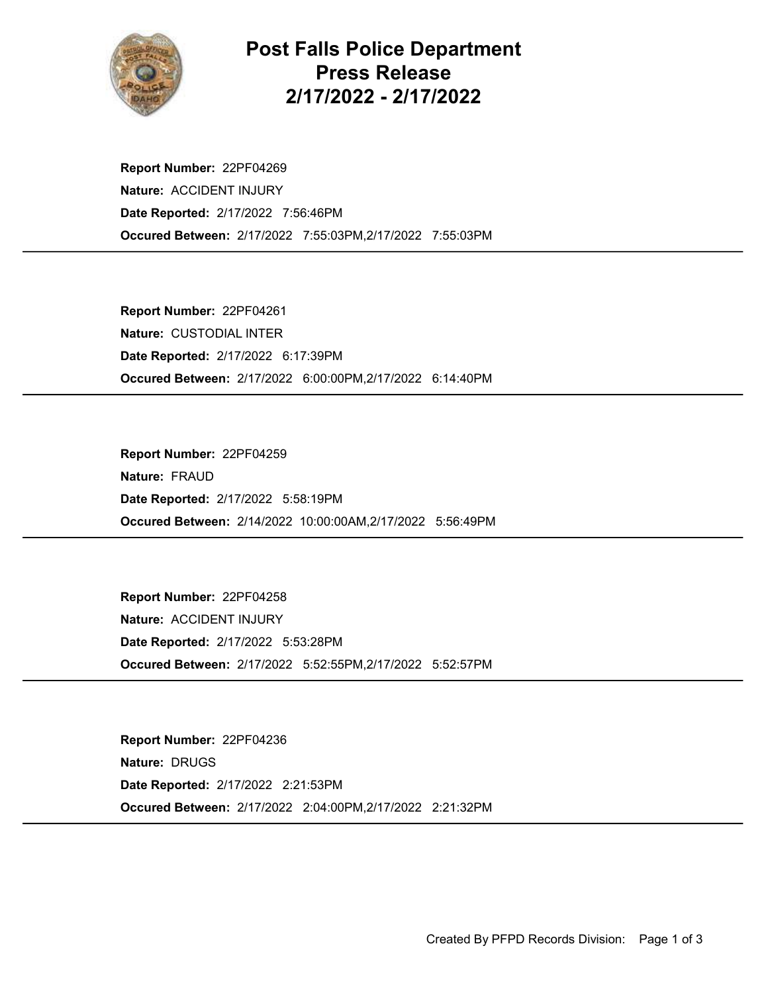

Post Falls Police Department Press Release 2/17/2022 - 2/17/2022

Occured Between: 2/17/2022 7:55:03PM,2/17/2022 7:55:03PM Report Number: 22PF04269 Nature: ACCIDENT INJURY Date Reported: 2/17/2022 7:56:46PM

Occured Between: 2/17/2022 6:00:00PM,2/17/2022 6:14:40PM Report Number: 22PF04261 Nature: CUSTODIAL INTER Date Reported: 2/17/2022 6:17:39PM

Occured Between: 2/14/2022 10:00:00AM,2/17/2022 5:56:49PM Report Number: 22PF04259 Nature: FRAUD Date Reported: 2/17/2022 5:58:19PM

Occured Between: 2/17/2022 5:52:55PM,2/17/2022 5:52:57PM Report Number: 22PF04258 Nature: ACCIDENT INJURY Date Reported: 2/17/2022 5:53:28PM

Occured Between: 2/17/2022 2:04:00PM,2/17/2022 2:21:32PM Report Number: 22PF04236 Nature: DRUGS Date Reported: 2/17/2022 2:21:53PM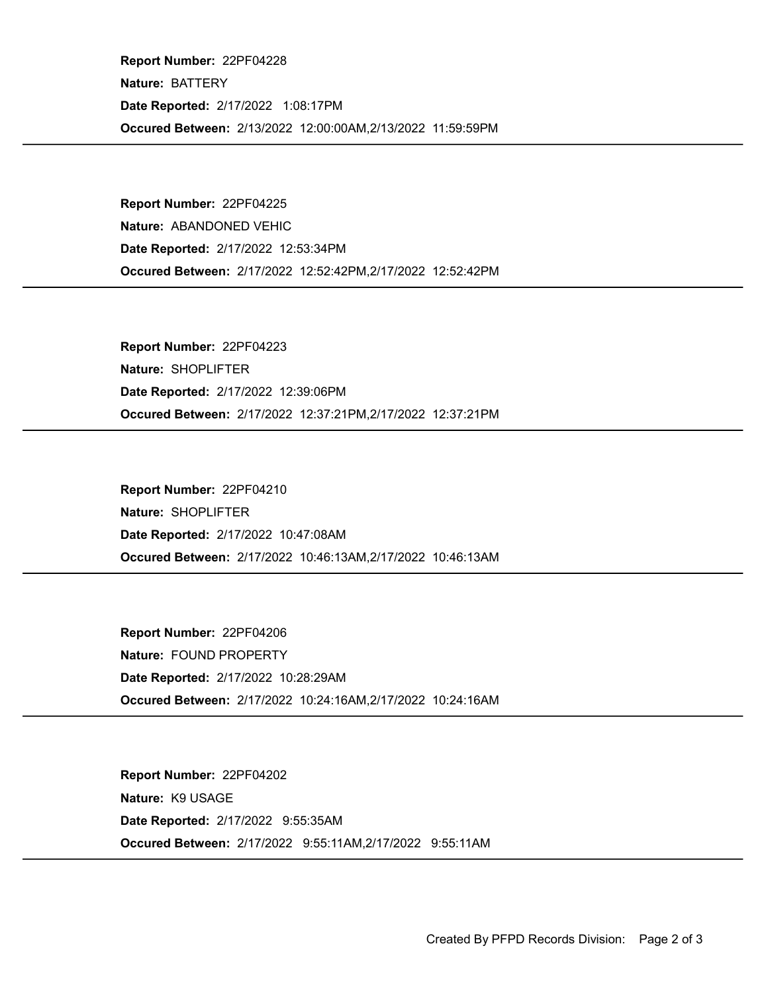Occured Between: 2/13/2022 12:00:00AM,2/13/2022 11:59:59PM Report Number: 22PF04228 Nature: BATTERY Date Reported: 2/17/2022 1:08:17PM

Occured Between: 2/17/2022 12:52:42PM,2/17/2022 12:52:42PM Report Number: 22PF04225 Nature: ABANDONED VEHIC Date Reported: 2/17/2022 12:53:34PM

Occured Between: 2/17/2022 12:37:21PM,2/17/2022 12:37:21PM Report Number: 22PF04223 Nature: SHOPLIFTER Date Reported: 2/17/2022 12:39:06PM

Occured Between: 2/17/2022 10:46:13AM,2/17/2022 10:46:13AM Report Number: 22PF04210 Nature: SHOPLIFTER Date Reported: 2/17/2022 10:47:08AM

Occured Between: 2/17/2022 10:24:16AM,2/17/2022 10:24:16AM Report Number: 22PF04206 Nature: FOUND PROPERTY Date Reported: 2/17/2022 10:28:29AM

Occured Between: 2/17/2022 9:55:11AM,2/17/2022 9:55:11AM Report Number: 22PF04202 Nature: K9 USAGE Date Reported: 2/17/2022 9:55:35AM